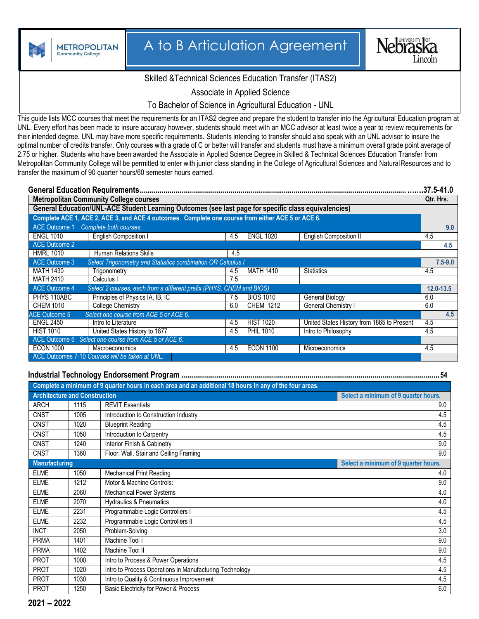

## A to B Articulation Agreement



## Skilled &Technical Sciences Education Transfer (ITAS2)

Associate in Applied Science

To Bachelor of Science in Agricultural Education - UNL

This guide lists MCC courses that meet the requirements for an ITAS2 degree and prepare the student to transfer into the Agricultural Education program at UNL. Every effort has been made to insure accuracy however, students should meet with an MCC advisor at least twice a year to review requirements for their intended degree. UNL may have more specific requirements. Students intending to transfer should also speak with an UNL advisor to insure the optimal number of credits transfer. Only courses with a grade of C or better will transfer and students must have a minimum overall grade point average of 2.75 or higher. Students who have been awarded the Associate in Applied Science Degree in Skilled & Technical Sciences Education Transfer from Metropolitan Community College will be permitted to enter with junior class standing in the College of Agricultural Sciences and Natural Resources and to transfer the maximum of 90 quarter hours/60 semester hours earned.

|                                                      |                                                                                                      |  |     |                  |                                            | .37.5-41.0    |  |
|------------------------------------------------------|------------------------------------------------------------------------------------------------------|--|-----|------------------|--------------------------------------------|---------------|--|
| <b>Metropolitan Community College courses</b>        |                                                                                                      |  |     |                  |                                            | Qtr. Hrs.     |  |
|                                                      | General Education/UNL-ACE Student Learning Outcomes (see last page for specific class equivalencies) |  |     |                  |                                            |               |  |
|                                                      | Complete ACE 1, ACE 2, ACE 3, and ACE 4 outcomes. Complete one course from either ACE 5 or ACE 6.    |  |     |                  |                                            |               |  |
| ACE Outcome 1                                        | Complete both courses.                                                                               |  |     |                  |                                            |               |  |
| <b>ENGL 1010</b>                                     | <b>English Composition I</b>                                                                         |  | 4.5 | <b>ENGL 1020</b> | <b>English Composition II</b>              | 4.5           |  |
| <b>ACE Outcome 2</b>                                 |                                                                                                      |  |     |                  |                                            | 4.5           |  |
| <b>HMRL 1010</b>                                     | <b>Human Relations Skills</b>                                                                        |  | 4.5 |                  |                                            |               |  |
| <b>ACE Outcome 3</b>                                 | Select Trigonometry and Statistics combination OR Calculus I                                         |  |     |                  |                                            | $7.5 - 9.0$   |  |
| <b>MATH 1430</b>                                     | Trigonometry                                                                                         |  | 4.5 | <b>MATH 1410</b> | <b>Statistics</b>                          | 4.5           |  |
| <b>MATH 2410</b>                                     | Calculus I                                                                                           |  | 7.5 |                  |                                            |               |  |
| <b>ACE Outcome 4</b>                                 | Select 2 courses, each from a different prefix (PHYS, CHEM and BIOS)                                 |  |     |                  |                                            | $12.0 - 13.5$ |  |
| PHYS 110ABC                                          | Principles of Physics IA, IB, IC                                                                     |  | 7.5 | <b>BIOS 1010</b> | General Biology                            | 6.0           |  |
| <b>CHEM 1010</b>                                     | <b>College Chemistry</b>                                                                             |  | 6.0 | <b>CHEM 1212</b> | <b>General Chemistry I</b>                 | 6.0           |  |
| <b>ACE Outcome 5</b>                                 | Select one course from ACE 5 or ACE 6.                                                               |  |     |                  |                                            | 4.5           |  |
| <b>ENGL 2450</b>                                     | Intro to Literature                                                                                  |  | 4.5 | <b>HIST 1020</b> | United States History from 1865 to Present | 4.5           |  |
| <b>HIST 1010</b>                                     | United States History to 1877                                                                        |  | 4.5 | <b>PHIL 1010</b> | Intro to Philosophy                        | 4.5           |  |
| ACE Outcome 6 Select one course from ACE 5 or ACE 6. |                                                                                                      |  |     |                  |                                            |               |  |
| <b>ECON 1000</b>                                     | Macroeconomics                                                                                       |  | 4.5 | <b>ECON 1100</b> | Microeconomics                             | 4.5           |  |
| ACE Outcomes 7-10 Courses will be taken at UNL.      |                                                                                                      |  |     |                  |                                            |               |  |

## **Industrial Technology Endorsement Program ...................................................................................................................................54**

|                                      |      | Complete a minimum of 9 quarter hours in each area and an additional 18 hours in any of the four areas. |                                      |
|--------------------------------------|------|---------------------------------------------------------------------------------------------------------|--------------------------------------|
| <b>Architecture and Construction</b> |      |                                                                                                         | Select a minimum of 9 quarter hours. |
| <b>ARCH</b>                          | 1115 | <b>REVIT Essentials</b>                                                                                 | 9.0                                  |
| <b>CNST</b>                          | 1005 | Introduction to Construction Industry                                                                   | 4.5                                  |
| <b>CNST</b>                          | 1020 | <b>Blueprint Reading</b>                                                                                | 4.5                                  |
| <b>CNST</b>                          | 1050 | Introduction to Carpentry                                                                               | 4.5                                  |
| <b>CNST</b>                          | 1240 | Interior Finish & Cabinetry                                                                             | 9.0                                  |
| <b>CNST</b>                          | 1360 | Floor, Wall, Stair and Ceiling Framing                                                                  | 9.0                                  |
| <b>Manufacturing</b>                 |      |                                                                                                         | Select a minimum of 9 quarter hours. |
| <b>ELME</b>                          | 1050 | <b>Mechanical Print Reading</b>                                                                         | 4.0                                  |
| <b>ELME</b>                          | 1212 | Motor & Machine Controls:                                                                               | 9.0                                  |
| <b>ELME</b>                          | 2060 | <b>Mechanical Power Systems</b>                                                                         | 4.0                                  |
| <b>ELME</b>                          | 2070 | <b>Hydraulics &amp; Pneumatics</b>                                                                      | 4.0                                  |
| <b>ELME</b>                          | 2231 | Programmable Logic Controllers I                                                                        | 4.5                                  |
| <b>ELME</b>                          | 2232 | Programmable Logic Controllers II                                                                       | 4.5                                  |
| <b>INCT</b>                          | 2050 | Problem-Solving                                                                                         | 3.0                                  |
| <b>PRMA</b>                          | 1401 | Machine Tool I                                                                                          | 9.0                                  |
| <b>PRMA</b>                          | 1402 | Machine Tool II                                                                                         | 9.0                                  |
| <b>PROT</b>                          | 1000 | Intro to Process & Power Operations                                                                     | 4.5                                  |
| <b>PROT</b>                          | 1020 | Intro to Process Operations in Manufacturing Technology                                                 | 4.5                                  |
| <b>PROT</b>                          | 1030 | Intro to Quality & Continuous Improvement                                                               | 4.5                                  |
| <b>PROT</b>                          | 1250 | Basic Electricity for Power & Process                                                                   | 6.0                                  |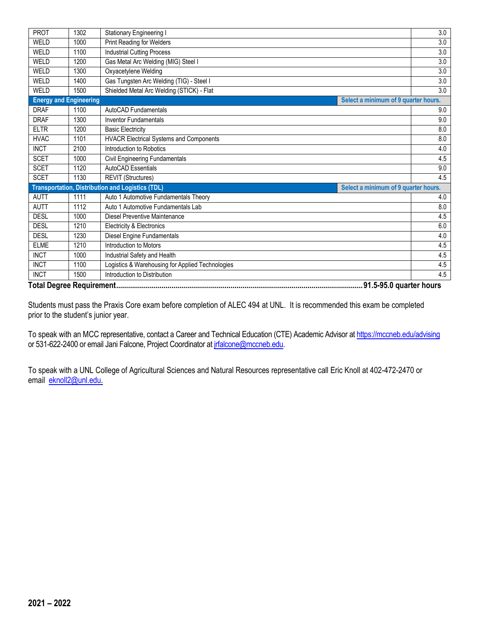| <b>Print Reading for Welders</b><br>3.0<br>WELD<br>1000<br>3.0<br>WELD<br><b>Industrial Cutting Process</b><br>1100<br>Gas Metal Arc Welding (MIG) Steel I<br>3.0<br>WELD<br>1200<br>WELD<br>3.0<br>1300<br>Oxyacetylene Welding<br>Gas Tungsten Arc Welding (TIG) - Steel I<br>3.0<br>WELD<br>1400<br>Shielded Metal Arc Welding (STICK) - Flat<br>3.0<br>WELD<br>1500<br><b>Energy and Engineering</b><br>Select a minimum of 9 quarter hours.<br><b>DRAF</b><br>1100<br>AutoCAD Fundamentals<br>9.0<br><b>DRAF</b><br>9.0<br>1300<br><b>Inventor Fundamentals</b><br><b>ELTR</b><br>8.0<br>1200<br><b>Basic Electricity</b><br><b>HVAC</b><br>1101<br><b>HVACR Electrical Systems and Components</b><br>8.0<br><b>INCT</b><br>Introduction to Robotics<br>2100<br>4.0<br>Civil Engineering Fundamentals<br><b>SCET</b><br>1000<br>4.5<br><b>AutoCAD Essentials</b><br><b>SCET</b><br>9.0<br>1120<br><b>SCET</b><br>1130<br>4.5<br><b>REVIT (Structures)</b><br><b>Transportation, Distribution and Logistics (TDL)</b><br>Select a minimum of 9 quarter hours.<br>Auto 1 Automotive Fundamentals Theory<br><b>AUTT</b><br>1111<br>4.0<br>Auto 1 Automotive Fundamentals Lab<br>8.0<br><b>AUTT</b><br>1112<br><b>DESL</b><br>4.5<br>1000<br>Diesel Preventive Maintenance<br><b>DESL</b><br>1210<br>Electricity & Electronics<br>6.0<br><b>DESL</b><br>$4.0\,$<br>1230<br>Diesel Engine Fundamentals<br>Introduction to Motors<br><b>ELME</b><br>1210<br>4.5<br><b>INCT</b><br>Industrial Safety and Health<br>4.5<br>1000<br><b>INCT</b><br>Logistics & Warehousing for Applied Technologies<br>4.5<br>1100<br><b>INCT</b><br>Introduction to Distribution<br>1500<br>4.5 | <b>PROT</b> | 1302 | <b>Stationary Engineering I</b> |  | 3.0 |  |
|------------------------------------------------------------------------------------------------------------------------------------------------------------------------------------------------------------------------------------------------------------------------------------------------------------------------------------------------------------------------------------------------------------------------------------------------------------------------------------------------------------------------------------------------------------------------------------------------------------------------------------------------------------------------------------------------------------------------------------------------------------------------------------------------------------------------------------------------------------------------------------------------------------------------------------------------------------------------------------------------------------------------------------------------------------------------------------------------------------------------------------------------------------------------------------------------------------------------------------------------------------------------------------------------------------------------------------------------------------------------------------------------------------------------------------------------------------------------------------------------------------------------------------------------------------------------------------------------------------------------------------------------------------------------------|-------------|------|---------------------------------|--|-----|--|
|                                                                                                                                                                                                                                                                                                                                                                                                                                                                                                                                                                                                                                                                                                                                                                                                                                                                                                                                                                                                                                                                                                                                                                                                                                                                                                                                                                                                                                                                                                                                                                                                                                                                              |             |      |                                 |  |     |  |
|                                                                                                                                                                                                                                                                                                                                                                                                                                                                                                                                                                                                                                                                                                                                                                                                                                                                                                                                                                                                                                                                                                                                                                                                                                                                                                                                                                                                                                                                                                                                                                                                                                                                              |             |      |                                 |  |     |  |
|                                                                                                                                                                                                                                                                                                                                                                                                                                                                                                                                                                                                                                                                                                                                                                                                                                                                                                                                                                                                                                                                                                                                                                                                                                                                                                                                                                                                                                                                                                                                                                                                                                                                              |             |      |                                 |  |     |  |
|                                                                                                                                                                                                                                                                                                                                                                                                                                                                                                                                                                                                                                                                                                                                                                                                                                                                                                                                                                                                                                                                                                                                                                                                                                                                                                                                                                                                                                                                                                                                                                                                                                                                              |             |      |                                 |  |     |  |
|                                                                                                                                                                                                                                                                                                                                                                                                                                                                                                                                                                                                                                                                                                                                                                                                                                                                                                                                                                                                                                                                                                                                                                                                                                                                                                                                                                                                                                                                                                                                                                                                                                                                              |             |      |                                 |  |     |  |
|                                                                                                                                                                                                                                                                                                                                                                                                                                                                                                                                                                                                                                                                                                                                                                                                                                                                                                                                                                                                                                                                                                                                                                                                                                                                                                                                                                                                                                                                                                                                                                                                                                                                              |             |      |                                 |  |     |  |
|                                                                                                                                                                                                                                                                                                                                                                                                                                                                                                                                                                                                                                                                                                                                                                                                                                                                                                                                                                                                                                                                                                                                                                                                                                                                                                                                                                                                                                                                                                                                                                                                                                                                              |             |      |                                 |  |     |  |
|                                                                                                                                                                                                                                                                                                                                                                                                                                                                                                                                                                                                                                                                                                                                                                                                                                                                                                                                                                                                                                                                                                                                                                                                                                                                                                                                                                                                                                                                                                                                                                                                                                                                              |             |      |                                 |  |     |  |
|                                                                                                                                                                                                                                                                                                                                                                                                                                                                                                                                                                                                                                                                                                                                                                                                                                                                                                                                                                                                                                                                                                                                                                                                                                                                                                                                                                                                                                                                                                                                                                                                                                                                              |             |      |                                 |  |     |  |
|                                                                                                                                                                                                                                                                                                                                                                                                                                                                                                                                                                                                                                                                                                                                                                                                                                                                                                                                                                                                                                                                                                                                                                                                                                                                                                                                                                                                                                                                                                                                                                                                                                                                              |             |      |                                 |  |     |  |
|                                                                                                                                                                                                                                                                                                                                                                                                                                                                                                                                                                                                                                                                                                                                                                                                                                                                                                                                                                                                                                                                                                                                                                                                                                                                                                                                                                                                                                                                                                                                                                                                                                                                              |             |      |                                 |  |     |  |
|                                                                                                                                                                                                                                                                                                                                                                                                                                                                                                                                                                                                                                                                                                                                                                                                                                                                                                                                                                                                                                                                                                                                                                                                                                                                                                                                                                                                                                                                                                                                                                                                                                                                              |             |      |                                 |  |     |  |
|                                                                                                                                                                                                                                                                                                                                                                                                                                                                                                                                                                                                                                                                                                                                                                                                                                                                                                                                                                                                                                                                                                                                                                                                                                                                                                                                                                                                                                                                                                                                                                                                                                                                              |             |      |                                 |  |     |  |
|                                                                                                                                                                                                                                                                                                                                                                                                                                                                                                                                                                                                                                                                                                                                                                                                                                                                                                                                                                                                                                                                                                                                                                                                                                                                                                                                                                                                                                                                                                                                                                                                                                                                              |             |      |                                 |  |     |  |
|                                                                                                                                                                                                                                                                                                                                                                                                                                                                                                                                                                                                                                                                                                                                                                                                                                                                                                                                                                                                                                                                                                                                                                                                                                                                                                                                                                                                                                                                                                                                                                                                                                                                              |             |      |                                 |  |     |  |
|                                                                                                                                                                                                                                                                                                                                                                                                                                                                                                                                                                                                                                                                                                                                                                                                                                                                                                                                                                                                                                                                                                                                                                                                                                                                                                                                                                                                                                                                                                                                                                                                                                                                              |             |      |                                 |  |     |  |
|                                                                                                                                                                                                                                                                                                                                                                                                                                                                                                                                                                                                                                                                                                                                                                                                                                                                                                                                                                                                                                                                                                                                                                                                                                                                                                                                                                                                                                                                                                                                                                                                                                                                              |             |      |                                 |  |     |  |
|                                                                                                                                                                                                                                                                                                                                                                                                                                                                                                                                                                                                                                                                                                                                                                                                                                                                                                                                                                                                                                                                                                                                                                                                                                                                                                                                                                                                                                                                                                                                                                                                                                                                              |             |      |                                 |  |     |  |
|                                                                                                                                                                                                                                                                                                                                                                                                                                                                                                                                                                                                                                                                                                                                                                                                                                                                                                                                                                                                                                                                                                                                                                                                                                                                                                                                                                                                                                                                                                                                                                                                                                                                              |             |      |                                 |  |     |  |
|                                                                                                                                                                                                                                                                                                                                                                                                                                                                                                                                                                                                                                                                                                                                                                                                                                                                                                                                                                                                                                                                                                                                                                                                                                                                                                                                                                                                                                                                                                                                                                                                                                                                              |             |      |                                 |  |     |  |
|                                                                                                                                                                                                                                                                                                                                                                                                                                                                                                                                                                                                                                                                                                                                                                                                                                                                                                                                                                                                                                                                                                                                                                                                                                                                                                                                                                                                                                                                                                                                                                                                                                                                              |             |      |                                 |  |     |  |
|                                                                                                                                                                                                                                                                                                                                                                                                                                                                                                                                                                                                                                                                                                                                                                                                                                                                                                                                                                                                                                                                                                                                                                                                                                                                                                                                                                                                                                                                                                                                                                                                                                                                              |             |      |                                 |  |     |  |
|                                                                                                                                                                                                                                                                                                                                                                                                                                                                                                                                                                                                                                                                                                                                                                                                                                                                                                                                                                                                                                                                                                                                                                                                                                                                                                                                                                                                                                                                                                                                                                                                                                                                              |             |      |                                 |  |     |  |
|                                                                                                                                                                                                                                                                                                                                                                                                                                                                                                                                                                                                                                                                                                                                                                                                                                                                                                                                                                                                                                                                                                                                                                                                                                                                                                                                                                                                                                                                                                                                                                                                                                                                              |             |      |                                 |  |     |  |
|                                                                                                                                                                                                                                                                                                                                                                                                                                                                                                                                                                                                                                                                                                                                                                                                                                                                                                                                                                                                                                                                                                                                                                                                                                                                                                                                                                                                                                                                                                                                                                                                                                                                              |             |      |                                 |  |     |  |

**Total Degree Requirement.............................................................................................................................91.5-95.0 quarter hours**

Students must pass the Praxis Core exam before completion of ALEC 494 at UNL. It is recommended this exam be completed prior to the student's junior year.

To speak with an MCC representative, contact a Career and Technical Education (CTE) Academic Advisor a[t https://mccneb.edu/advising](https://mccneb.edu/advising) or 531-622-2400 or email Jani Falcone, Project Coordinator at *jrfalcone@mccneb.edu*.

To speak with a UNL College of Agricultural Sciences and Natural Resources representative call Eric Knoll at 402-472-2470 or email [eknoll2@unl.edu.](mailto:eknoll2@unl.edu)